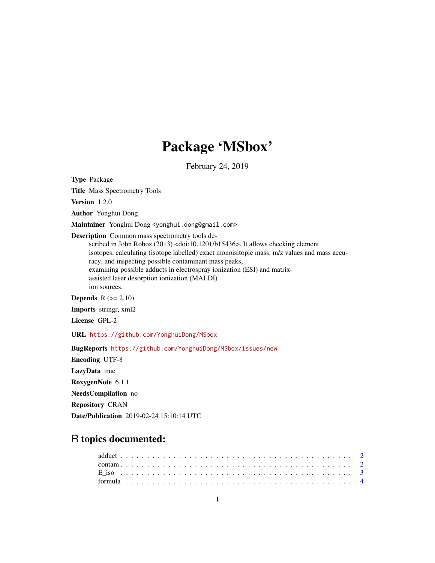# Package 'MSbox'

February 24, 2019

Type Package

Title Mass Spectrometry Tools Version 1.2.0 Author Yonghui Dong Maintainer Yonghui Dong <yonghui.dong@gmail.com> Description Common mass spectrometry tools described in John Roboz (2013) <doi:10.1201/b15436>. It allows checking element isotopes, calculating (isotope labelled) exact monoisitopic mass, m/z values and mass accuracy, and inspecting possible contaminant mass peaks, examining possible adducts in electrospray ionization (ESI) and matrixassisted laser desorption ionization (MALDI) ion sources. Depends  $R (= 2.10)$ Imports stringr, xml2 License GPL-2

URL <https://github.com/YonghuiDong/MSbox>

BugReports <https://github.com/YonghuiDong/MSbox/issues/new>

Encoding UTF-8 LazyData true RoxygenNote 6.1.1 NeedsCompilation no Repository CRAN Date/Publication 2019-02-24 15:10:14 UTC

## R topics documented: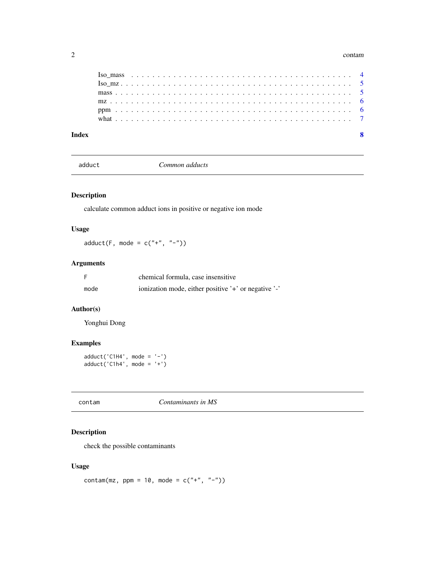#### <span id="page-1-0"></span> $2 \cos \theta$  contamposition of  $2 \cos \theta$  contamposition  $2 \cos \theta$  contamposition  $2 \sin \theta$

| Index |  |  |  |  |  |  |  |  |  |  |  |  |  |  |  |  |  |  |  |  | Я |
|-------|--|--|--|--|--|--|--|--|--|--|--|--|--|--|--|--|--|--|--|--|---|

adduct *Common adducts*

#### Description

calculate common adduct ions in positive or negative ion mode

#### Usage

 $adduct(F, mode = c(" +", " -")$ 

#### Arguments

|      | chemical formula, case insensitive                   |
|------|------------------------------------------------------|
| mode | ionization mode, either positive '+' or negative '-' |

#### Author(s)

Yonghui Dong

### Examples

adduct('C1H4', mode = '-') adduct('C1h4', mode = '+')

|--|--|

#### Description

check the possible contaminants

#### Usage

contam(mz, ppm = 10, mode =  $c("''', "''-")$ )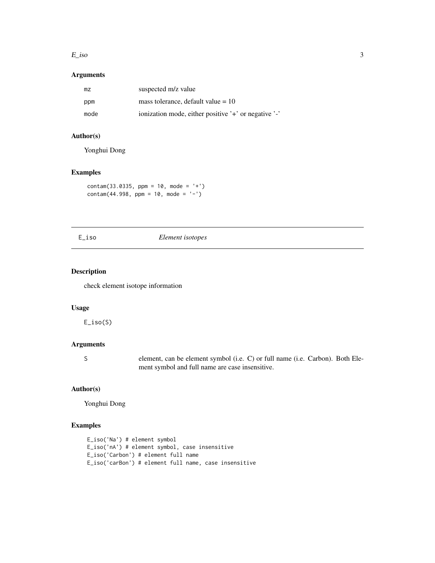#### <span id="page-2-0"></span> $E$ <sub>iso</sub> 3

#### Arguments

| mz   | suspected m/z value                                  |
|------|------------------------------------------------------|
| ppm  | mass tolerance, default value $= 10$                 |
| mode | ionization mode, either positive '+' or negative '-' |

#### Author(s)

Yonghui Dong

#### Examples

 $contam(33.0335, ppm = 10, mode = '+')$  $\text{contam}(44.998, \text{ ppm} = 10, \text{ mode} = '-')$ 

#### E\_iso *Element isotopes*

#### Description

check element isotope information

#### Usage

E\_iso(S)

#### Arguments

S element, can be element symbol (i.e. C) or full name (i.e. Carbon). Both Element symbol and full name are case insensitive.

#### Author(s)

Yonghui Dong

#### Examples

```
E_iso('Na') # element symbol
E_iso('nA') # element symbol, case insensitive
E_iso('Carbon') # element full name
E_iso('carBon') # element full name, case insensitive
```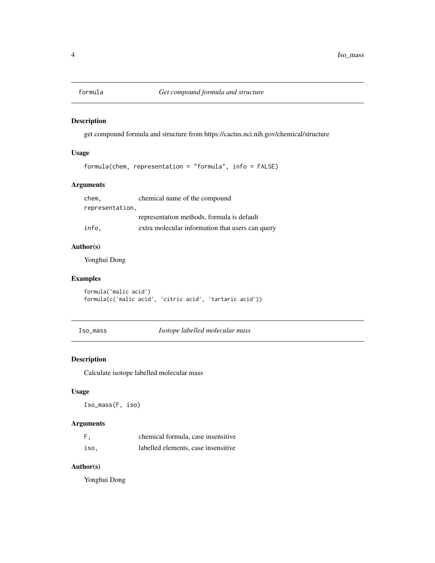<span id="page-3-0"></span>

#### Description

get compound formula and structure from https://cactus.nci.nih.gov/chemical/structure

#### Usage

formula(chem, representation = "formula", info = FALSE)

#### Arguments

chem, chemical name of the compound representation, representation methods, formula is default info, extra molecular information that users can query

| THI Q, | <u>UXUA MOICCUIAE MITOHINATION UNA USCES CAN</u> |  |  |
|--------|--------------------------------------------------|--|--|
|        |                                                  |  |  |

#### Author(s)

Yonghui Dong

#### Examples

formula('malic acid') formula(c('malic acid', 'citric acid', 'tartaric acid'))

Iso\_mass *Isotope labelled molecular mass*

#### Description

Calculate isotope labelled molecular mass

#### Usage

Iso\_mass(F, iso)

#### Arguments

| F,   | chemical formula, case insensitive  |
|------|-------------------------------------|
| iso. | labelled elements, case insensitive |

#### Author(s)

Yonghui Dong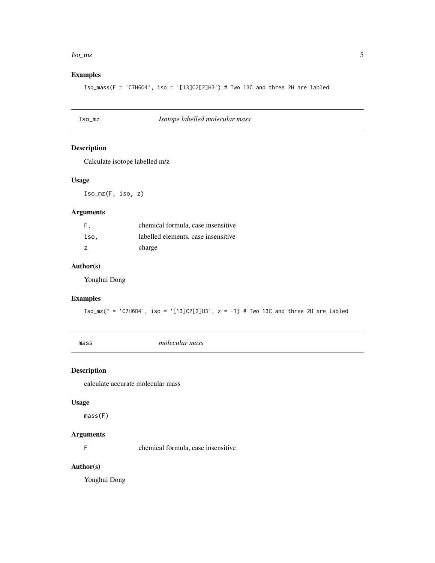#### <span id="page-4-0"></span>Iso\_mz 5

#### Examples

Iso\_mass(F = 'C7H6O4', iso = '[13]C2[2]H3') # Two 13C and three 2H are labled

| Iso_mz | Isotope labelled molecular mass |  |
|--------|---------------------------------|--|
|--------|---------------------------------|--|

#### Description

Calculate isotope labelled m/z

#### Usage

Iso\_mz(F, iso, z)

#### Arguments

| F.   | chemical formula, case insensitive  |
|------|-------------------------------------|
| iso. | labelled elements, case insensitive |
|      | charge                              |

#### Author(s)

Yonghui Dong

#### Examples

Iso\_mz(F = 'C7H6O4', iso = '[13]C2[2]H3', z = -1) # Two 13C and three 2H are labled

mass *molecular mass*

#### Description

calculate accurate molecular mass

#### Usage

mass(F)

#### Arguments

F chemical formula, case insensitive

#### Author(s)

Yonghui Dong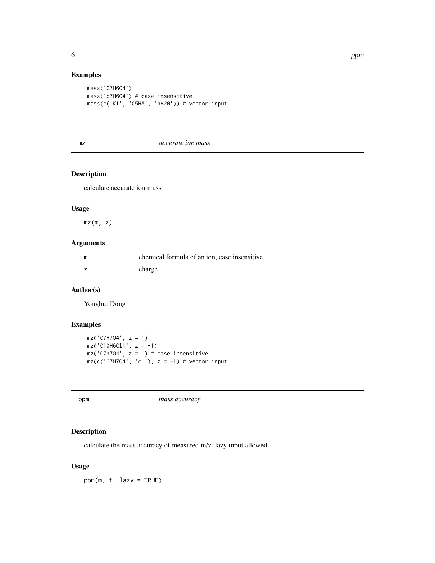#### Examples

```
mass('C7H6O4')
mass('c7H6O4') # case insensitive
mass(c('K1', 'C5H8', 'nA20')) # vector input
```
mz *accurate ion mass*

#### Description

calculate accurate ion mass

#### Usage

 $mz(m, z)$ 

#### Arguments

| m | chemical formula of an ion, case insensitive |
|---|----------------------------------------------|
|   | charge                                       |

#### Author(s)

Yonghui Dong

#### Examples

```
mz('C7H7O4', z = 1)
mz('C10H6C11', z = -1)mz('C7h704', z = 1) # case insensitive
mz(c('C7H7O4', 'c1'), z = -1) # vector input
```
ppm *mass accuracy*

#### Description

calculate the mass accuracy of measured m/z. lazy input allowed

#### Usage

ppm(m, t, lazy = TRUE)

<span id="page-5-0"></span>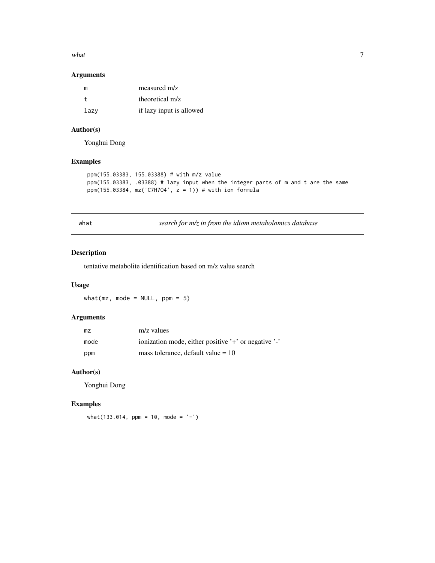#### <span id="page-6-0"></span>what  $\overline{7}$

#### Arguments

| m    | measured m/z             |
|------|--------------------------|
|      | theoretical m/z          |
| lazv | if lazy input is allowed |

#### Author(s)

Yonghui Dong

#### Examples

```
ppm(155.03383, 155.03388) # with m/z value
ppm(155.03383, .03388) # lazy input when the integer parts of m and t are the same
ppm(155.03384, mz('C7H7O4', z = 1)) # with ion formula
```
what *search for m/z in from the idiom metabolomics database*

#### Description

tentative metabolite identification based on m/z value search

#### Usage

what( $mz$ , mode = NULL,  $ppm = 5$ )

#### Arguments

| mz   | m/z values                                           |
|------|------------------------------------------------------|
| mode | ionization mode, either positive '+' or negative '-' |
| ppm  | mass tolerance, default value $= 10$                 |

#### Author(s)

Yonghui Dong

#### Examples

 $what(133.014, ppm = 10, mode = '-'')$